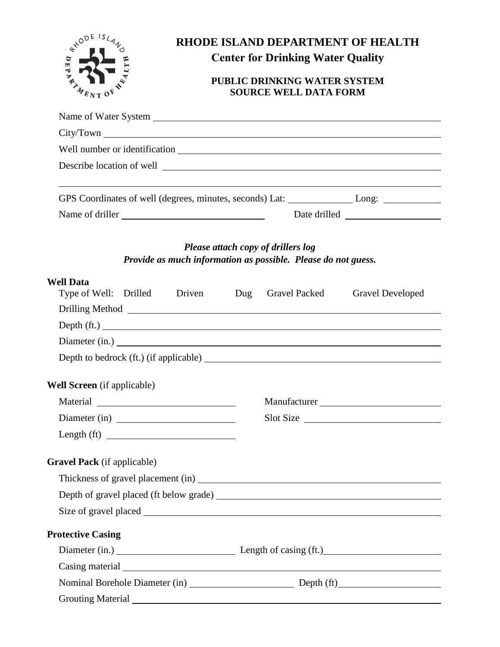

## **RHODE ISLAND DEPARTMENT OF HEALTH Center for Drinking Water Quality**

## **PUBLIC DRINKING WATER SYSTEM SOURCE WELL DATA FORM**

|                                                                                                                                                                                                                                | GPS Coordinates of well (degrees, minutes, seconds) Lat: ________________ Long: ______________ |
|--------------------------------------------------------------------------------------------------------------------------------------------------------------------------------------------------------------------------------|------------------------------------------------------------------------------------------------|
|                                                                                                                                                                                                                                |                                                                                                |
|                                                                                                                                                                                                                                |                                                                                                |
|                                                                                                                                                                                                                                | Please attach copy of drillers log                                                             |
|                                                                                                                                                                                                                                | Provide as much information as possible. Please do not guess.                                  |
| <b>Well Data</b><br>Type of Well: Drilled Driven Dug Gravel Packed                                                                                                                                                             | <b>Gravel Developed</b>                                                                        |
|                                                                                                                                                                                                                                |                                                                                                |
|                                                                                                                                                                                                                                | Depth (ft.)                                                                                    |
|                                                                                                                                                                                                                                |                                                                                                |
|                                                                                                                                                                                                                                |                                                                                                |
| Well Screen (if applicable)                                                                                                                                                                                                    |                                                                                                |
|                                                                                                                                                                                                                                | Manufacturer                                                                                   |
| Diameter (in)                                                                                                                                                                                                                  | Slot Size                                                                                      |
| Length (ft) $\frac{1}{\sqrt{1-\frac{1}{2}} \cdot \frac{1}{2}}$                                                                                                                                                                 |                                                                                                |
| <b>Gravel Pack</b> (if applicable)                                                                                                                                                                                             |                                                                                                |
|                                                                                                                                                                                                                                |                                                                                                |
|                                                                                                                                                                                                                                |                                                                                                |
|                                                                                                                                                                                                                                |                                                                                                |
| <b>Protective Casing</b>                                                                                                                                                                                                       |                                                                                                |
|                                                                                                                                                                                                                                | Diameter (in.) Length of casing (ft.)                                                          |
| Casing material expression and the contract of the contract of the contract of the contract of the contract of the contract of the contract of the contract of the contract of the contract of the contract of the contract of |                                                                                                |
|                                                                                                                                                                                                                                |                                                                                                |
|                                                                                                                                                                                                                                |                                                                                                |